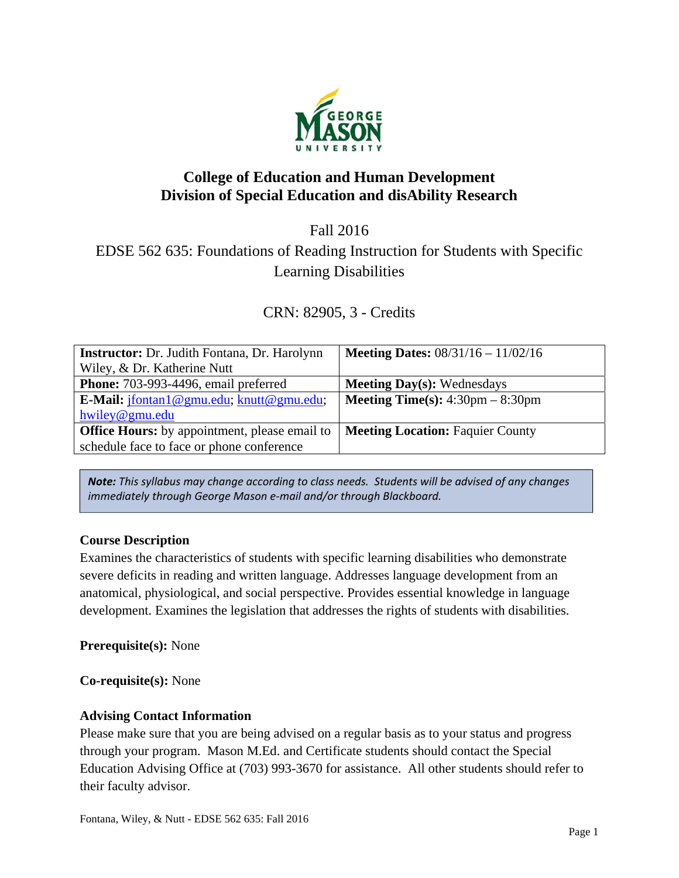

# **College of Education and Human Development Division of Special Education and disAbility Research**

Fall 2016

# EDSE 562 635: Foundations of Reading Instruction for Students with Specific Learning Disabilities

CRN: 82905, 3 - Credits

| <b>Instructor:</b> Dr. Judith Fontana, Dr. Harolynn   | <b>Meeting Dates:</b> $08/31/16 - 11/02/16$               |
|-------------------------------------------------------|-----------------------------------------------------------|
| Wiley, & Dr. Katherine Nutt                           |                                                           |
| <b>Phone:</b> 703-993-4496, email preferred           | <b>Meeting Day(s): Wednesdays</b>                         |
| <b>E-Mail:</b> $ifontan1@gmu.edu$ ; $knutt@gmu.edu$ ; | <b>Meeting Time(s):</b> $4:30 \text{pm} - 8:30 \text{pm}$ |
| hwiley@gmu.edu                                        |                                                           |
| <b>Office Hours:</b> by appointment, please email to  | <b>Meeting Location: Faquier County</b>                   |
| schedule face to face or phone conference             |                                                           |

*Note: This syllabus may change according to class needs. Students will be advised of any changes immediately through George Mason e‐mail and/or through Blackboard.*

## **Course Description**

Examines the characteristics of students with specific learning disabilities who demonstrate severe deficits in reading and written language. Addresses language development from an anatomical, physiological, and social perspective. Provides essential knowledge in language development. Examines the legislation that addresses the rights of students with disabilities.

**Prerequisite(s):** None

**Co-requisite(s):** None

## **Advising Contact Information**

Please make sure that you are being advised on a regular basis as to your status and progress through your program. Mason M.Ed. and Certificate students should contact the Special Education Advising Office at (703) 993-3670 for assistance. All other students should refer to their faculty advisor.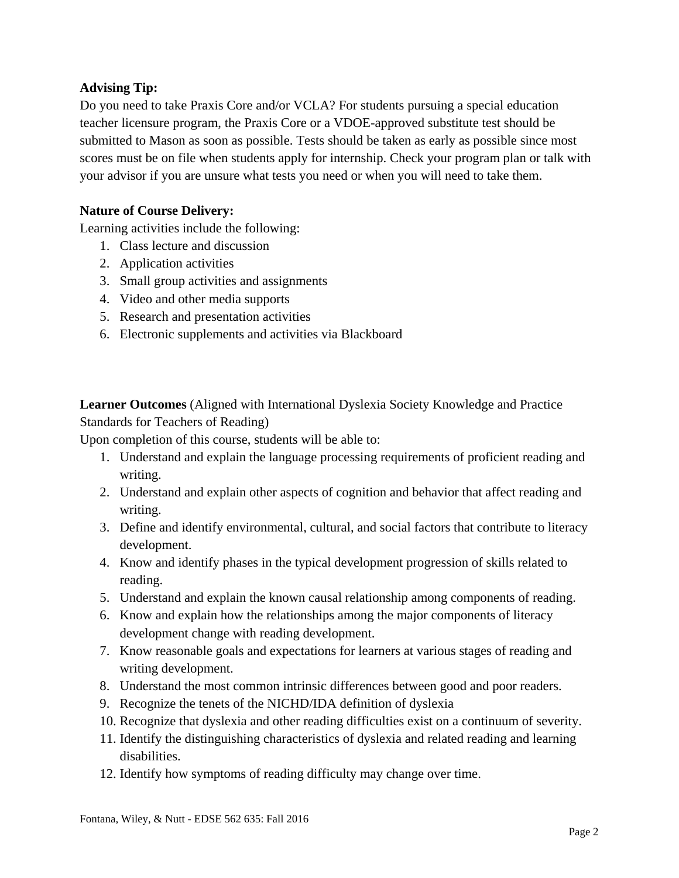### **Advising Tip:**

Do you need to take Praxis Core and/or VCLA? For students pursuing a special education teacher licensure program, the Praxis Core or a VDOE-approved substitute test should be submitted to Mason as soon as possible. Tests should be taken as early as possible since most scores must be on file when students apply for internship. Check your program plan or talk with your advisor if you are unsure what tests you need or when you will need to take them.

#### **Nature of Course Delivery:**

Learning activities include the following:

- 1. Class lecture and discussion
- 2. Application activities
- 3. Small group activities and assignments
- 4. Video and other media supports
- 5. Research and presentation activities
- 6. Electronic supplements and activities via Blackboard

**Learner Outcomes** (Aligned with International Dyslexia Society Knowledge and Practice Standards for Teachers of Reading)

Upon completion of this course, students will be able to:

- 1. Understand and explain the language processing requirements of proficient reading and writing.
- 2. Understand and explain other aspects of cognition and behavior that affect reading and writing.
- 3. Define and identify environmental, cultural, and social factors that contribute to literacy development.
- 4. Know and identify phases in the typical development progression of skills related to reading.
- 5. Understand and explain the known causal relationship among components of reading.
- 6. Know and explain how the relationships among the major components of literacy development change with reading development.
- 7. Know reasonable goals and expectations for learners at various stages of reading and writing development.
- 8. Understand the most common intrinsic differences between good and poor readers.
- 9. Recognize the tenets of the NICHD/IDA definition of dyslexia
- 10. Recognize that dyslexia and other reading difficulties exist on a continuum of severity.
- 11. Identify the distinguishing characteristics of dyslexia and related reading and learning disabilities.
- 12. Identify how symptoms of reading difficulty may change over time.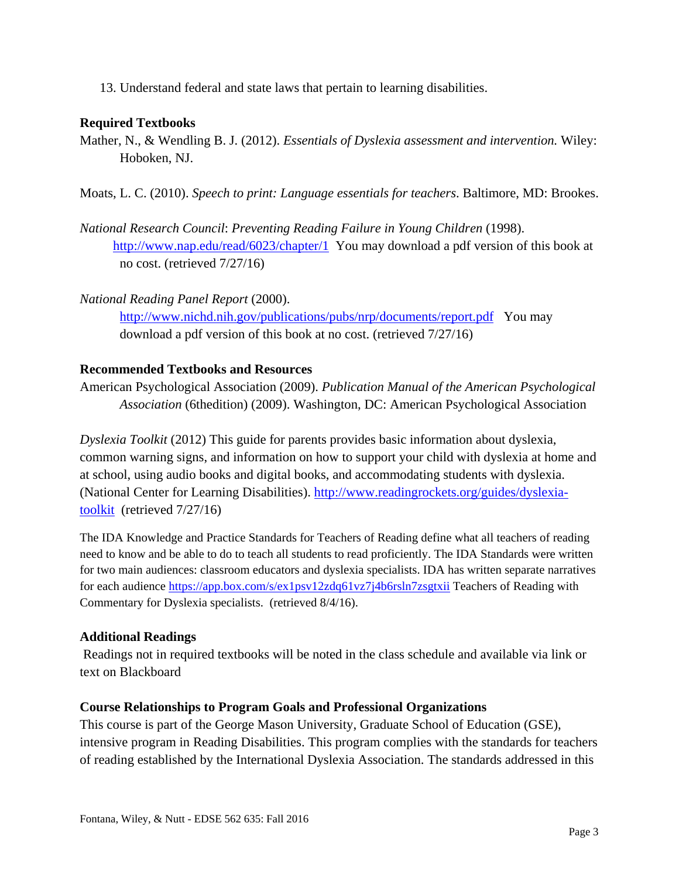13. Understand federal and state laws that pertain to learning disabilities.

#### **Required Textbooks**

- Mather, N., & Wendling B. J. (2012). *Essentials of Dyslexia assessment and intervention.* Wiley: Hoboken, NJ.
- Moats, L. C. (2010). *Speech to print: Language essentials for teachers*. Baltimore, MD: Brookes.
- *National Research Council*: *Preventing Reading Failure in Young Children* (1998). http://www.nap.edu/read/6023/chapter/1 You may download a pdf version of this book at no cost. (retrieved 7/27/16)
- *National Reading Panel Report* (2000). http://www.nichd.nih.gov/publications/pubs/nrp/documents/report.pdf You may download a pdf version of this book at no cost. (retrieved 7/27/16)

#### **Recommended Textbooks and Resources**

American Psychological Association (2009). *Publication Manual of the American Psychological Association* (6thedition) (2009). Washington, DC: American Psychological Association

*Dyslexia Toolkit* (2012) This guide for parents provides basic information about dyslexia, common warning signs, and information on how to support your child with dyslexia at home and at school, using audio books and digital books, and accommodating students with dyslexia. (National Center for Learning Disabilities). http://www.readingrockets.org/guides/dyslexiatoolkit (retrieved 7/27/16)

The IDA Knowledge and Practice Standards for Teachers of Reading define what all teachers of reading need to know and be able to do to teach all students to read proficiently. The IDA Standards were written for two main audiences: classroom educators and dyslexia specialists. IDA has written separate narratives for each audience https://app.box.com/s/ex1psv12zdq61vz7j4b6rsln7zsgtxii Teachers of Reading with Commentary for Dyslexia specialists. (retrieved 8/4/16).

### **Additional Readings**

Readings not in required textbooks will be noted in the class schedule and available via link or text on Blackboard

#### **Course Relationships to Program Goals and Professional Organizations**

This course is part of the George Mason University, Graduate School of Education (GSE), intensive program in Reading Disabilities. This program complies with the standards for teachers of reading established by the International Dyslexia Association. The standards addressed in this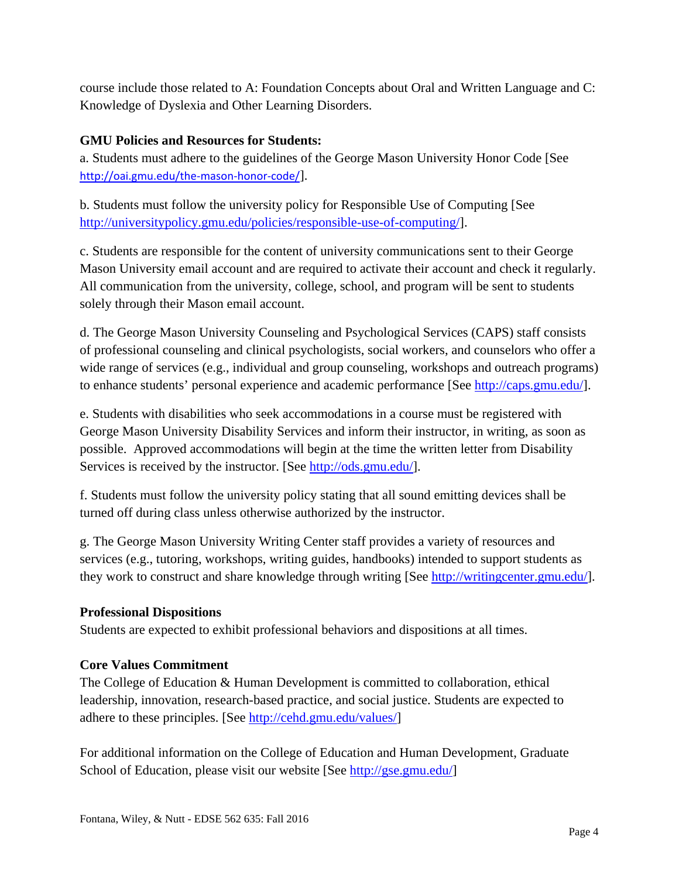course include those related to A: Foundation Concepts about Oral and Written Language and C: Knowledge of Dyslexia and Other Learning Disorders.

## **GMU Policies and Resources for Students:**

a. Students must adhere to the guidelines of the George Mason University Honor Code [See http://oai.gmu.edu/the-mason-honor-code/].

b. Students must follow the university policy for Responsible Use of Computing [See http://universitypolicy.gmu.edu/policies/responsible-use-of-computing/].

c. Students are responsible for the content of university communications sent to their George Mason University email account and are required to activate their account and check it regularly. All communication from the university, college, school, and program will be sent to students solely through their Mason email account.

d. The George Mason University Counseling and Psychological Services (CAPS) staff consists of professional counseling and clinical psychologists, social workers, and counselors who offer a wide range of services (e.g., individual and group counseling, workshops and outreach programs) to enhance students' personal experience and academic performance [See http://caps.gmu.edu/].

e. Students with disabilities who seek accommodations in a course must be registered with George Mason University Disability Services and inform their instructor, in writing, as soon as possible. Approved accommodations will begin at the time the written letter from Disability Services is received by the instructor. [See http://ods.gmu.edu/].

f. Students must follow the university policy stating that all sound emitting devices shall be turned off during class unless otherwise authorized by the instructor.

g. The George Mason University Writing Center staff provides a variety of resources and services (e.g., tutoring, workshops, writing guides, handbooks) intended to support students as they work to construct and share knowledge through writing [See http://writingcenter.gmu.edu/].

### **Professional Dispositions**

Students are expected to exhibit professional behaviors and dispositions at all times.

### **Core Values Commitment**

The College of Education & Human Development is committed to collaboration, ethical leadership, innovation, research-based practice, and social justice. Students are expected to adhere to these principles. [See http://cehd.gmu.edu/values/]

For additional information on the College of Education and Human Development, Graduate School of Education, please visit our website [See http://gse.gmu.edu/]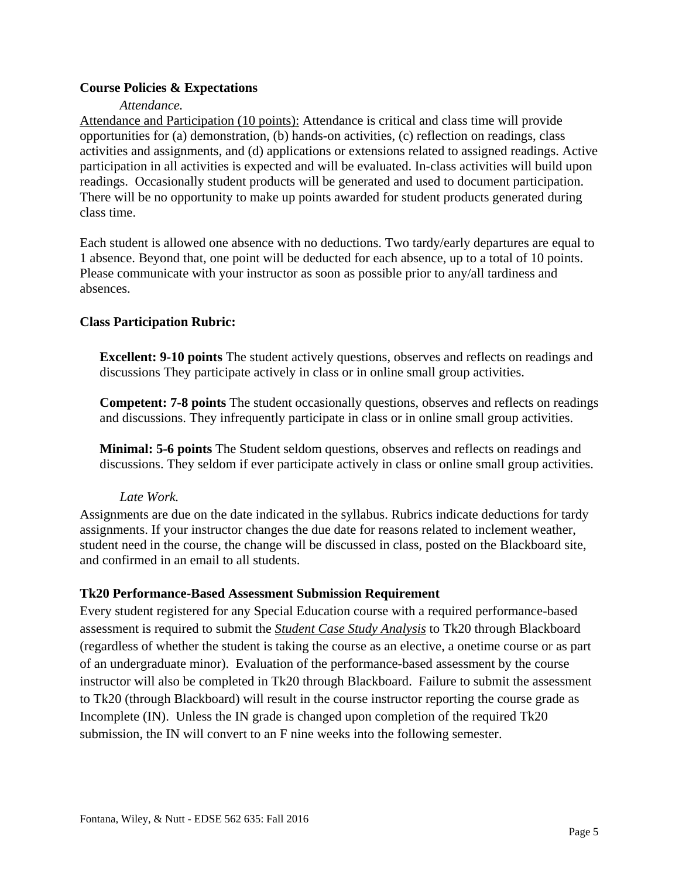#### **Course Policies & Expectations**

#### *Attendance.*

Attendance and Participation (10 points): Attendance is critical and class time will provide opportunities for (a) demonstration, (b) hands-on activities, (c) reflection on readings, class activities and assignments, and (d) applications or extensions related to assigned readings. Active participation in all activities is expected and will be evaluated. In-class activities will build upon readings. Occasionally student products will be generated and used to document participation. There will be no opportunity to make up points awarded for student products generated during class time.

Each student is allowed one absence with no deductions. Two tardy/early departures are equal to 1 absence. Beyond that, one point will be deducted for each absence, up to a total of 10 points. Please communicate with your instructor as soon as possible prior to any/all tardiness and absences.

#### **Class Participation Rubric:**

**Excellent: 9-10 points** The student actively questions, observes and reflects on readings and discussions They participate actively in class or in online small group activities.

**Competent: 7-8 points** The student occasionally questions, observes and reflects on readings and discussions. They infrequently participate in class or in online small group activities.

**Minimal: 5-6 points** The Student seldom questions, observes and reflects on readings and discussions. They seldom if ever participate actively in class or online small group activities.

#### *Late Work.*

Assignments are due on the date indicated in the syllabus. Rubrics indicate deductions for tardy assignments. If your instructor changes the due date for reasons related to inclement weather, student need in the course, the change will be discussed in class, posted on the Blackboard site, and confirmed in an email to all students.

#### **Tk20 Performance-Based Assessment Submission Requirement**

Every student registered for any Special Education course with a required performance-based assessment is required to submit the *Student Case Study Analysis* to Tk20 through Blackboard (regardless of whether the student is taking the course as an elective, a onetime course or as part of an undergraduate minor). Evaluation of the performance-based assessment by the course instructor will also be completed in Tk20 through Blackboard. Failure to submit the assessment to Tk20 (through Blackboard) will result in the course instructor reporting the course grade as Incomplete (IN). Unless the IN grade is changed upon completion of the required Tk20 submission, the IN will convert to an F nine weeks into the following semester.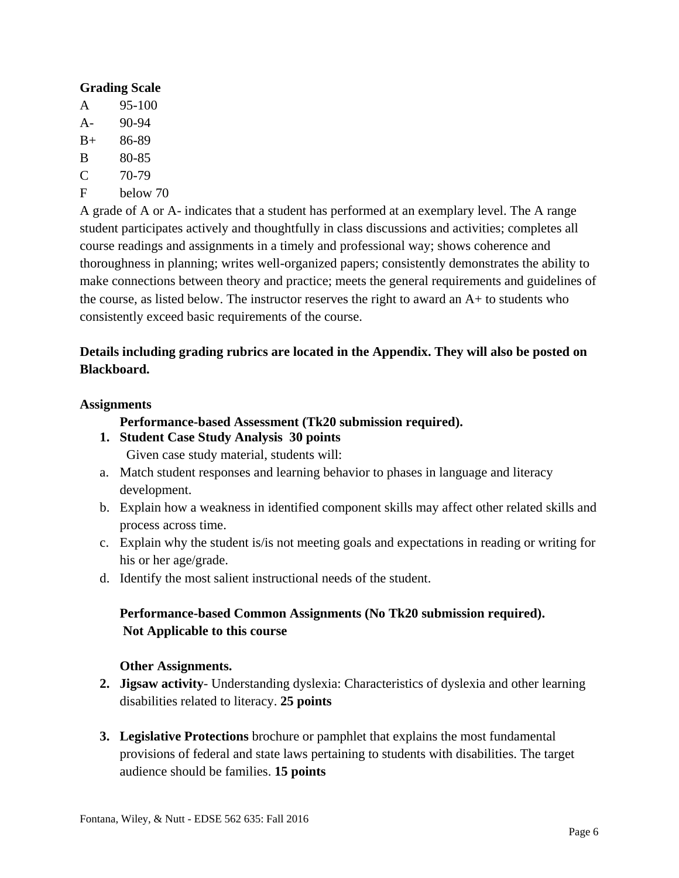#### **Grading Scale**

- A 95-100 A- 90-94
- B+ 86-89
- B 80-85
- $C = 70-79$
- F below 70

A grade of A or A- indicates that a student has performed at an exemplary level. The A range student participates actively and thoughtfully in class discussions and activities; completes all course readings and assignments in a timely and professional way; shows coherence and thoroughness in planning; writes well-organized papers; consistently demonstrates the ability to make connections between theory and practice; meets the general requirements and guidelines of the course, as listed below. The instructor reserves the right to award an A+ to students who consistently exceed basic requirements of the course.

## **Details including grading rubrics are located in the Appendix. They will also be posted on Blackboard.**

#### **Assignments**

## **Performance-based Assessment (Tk20 submission required).**

- **1. Student Case Study Analysis 30 points**  Given case study material, students will:
- a. Match student responses and learning behavior to phases in language and literacy development.
- b. Explain how a weakness in identified component skills may affect other related skills and process across time.
- c. Explain why the student is/is not meeting goals and expectations in reading or writing for his or her age/grade.
- d. Identify the most salient instructional needs of the student.

## **Performance-based Common Assignments (No Tk20 submission required). Not Applicable to this course**

### **Other Assignments.**

- **2. Jigsaw activity** Understanding dyslexia: Characteristics of dyslexia and other learning disabilities related to literacy. **25 points**
- **3. Legislative Protections** brochure or pamphlet that explains the most fundamental provisions of federal and state laws pertaining to students with disabilities. The target audience should be families. **15 points**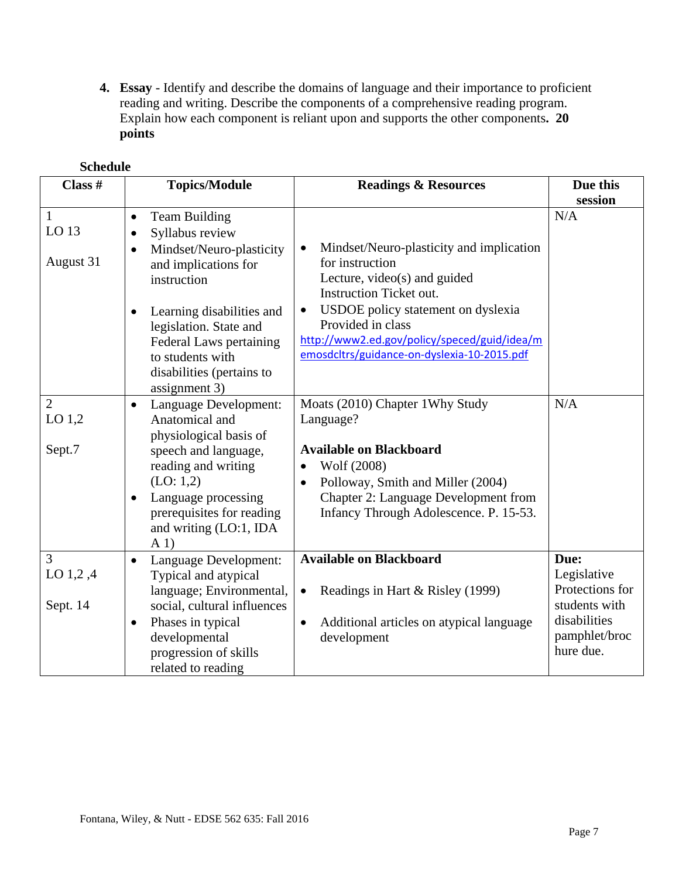**4. Essay** - Identify and describe the domains of language and their importance to proficient reading and writing. Describe the components of a comprehensive reading program. Explain how each component is reliant upon and supports the other components**. 20 points** 

| Class #                              | <b>Topics/Module</b>                                                                                                                                                                                                                                                                                  | <b>Readings &amp; Resources</b>                                                                                                                                                                                                                                                                                   | Due this                                                                                              |
|--------------------------------------|-------------------------------------------------------------------------------------------------------------------------------------------------------------------------------------------------------------------------------------------------------------------------------------------------------|-------------------------------------------------------------------------------------------------------------------------------------------------------------------------------------------------------------------------------------------------------------------------------------------------------------------|-------------------------------------------------------------------------------------------------------|
|                                      |                                                                                                                                                                                                                                                                                                       |                                                                                                                                                                                                                                                                                                                   | session                                                                                               |
| $\mathbf{1}$<br>LO 13<br>August 31   | <b>Team Building</b><br>$\bullet$<br>Syllabus review<br>$\bullet$<br>Mindset/Neuro-plasticity<br>and implications for<br>instruction<br>Learning disabilities and<br>$\bullet$<br>legislation. State and<br>Federal Laws pertaining<br>to students with<br>disabilities (pertains to<br>assignment 3) | Mindset/Neuro-plasticity and implication<br>$\bullet$<br>for instruction<br>Lecture, video(s) and guided<br><b>Instruction Ticket out.</b><br>USDOE policy statement on dyslexia<br>$\bullet$<br>Provided in class<br>http://www2.ed.gov/policy/speced/guid/idea/m<br>emosdcltrs/guidance-on-dyslexia-10-2015.pdf | N/A                                                                                                   |
| $\overline{2}$<br>LO $1,2$<br>Sept.7 | Language Development:<br>$\bullet$<br>Anatomical and<br>physiological basis of<br>speech and language,<br>reading and writing<br>(LO: 1,2)<br>Language processing<br>$\bullet$<br>prerequisites for reading<br>and writing (LO:1, IDA<br>A <sub>1</sub>                                               | Moats (2010) Chapter 1Why Study<br>Language?<br><b>Available on Blackboard</b><br>Wolf (2008)<br>$\bullet$<br>Polloway, Smith and Miller (2004)<br>$\bullet$<br>Chapter 2: Language Development from<br>Infancy Through Adolescence. P. 15-53.                                                                    | N/A                                                                                                   |
| 3<br>LO 1,2,4<br>Sept. 14            | Language Development:<br>$\bullet$<br>Typical and atypical<br>language; Environmental,<br>social, cultural influences<br>Phases in typical<br>$\bullet$<br>developmental<br>progression of skills<br>related to reading                                                                               | <b>Available on Blackboard</b><br>Readings in Hart & Risley (1999)<br>Additional articles on atypical language<br>$\bullet$<br>development                                                                                                                                                                        | Due:<br>Legislative<br>Protections for<br>students with<br>disabilities<br>pamphlet/broc<br>hure due. |

## **Schedule**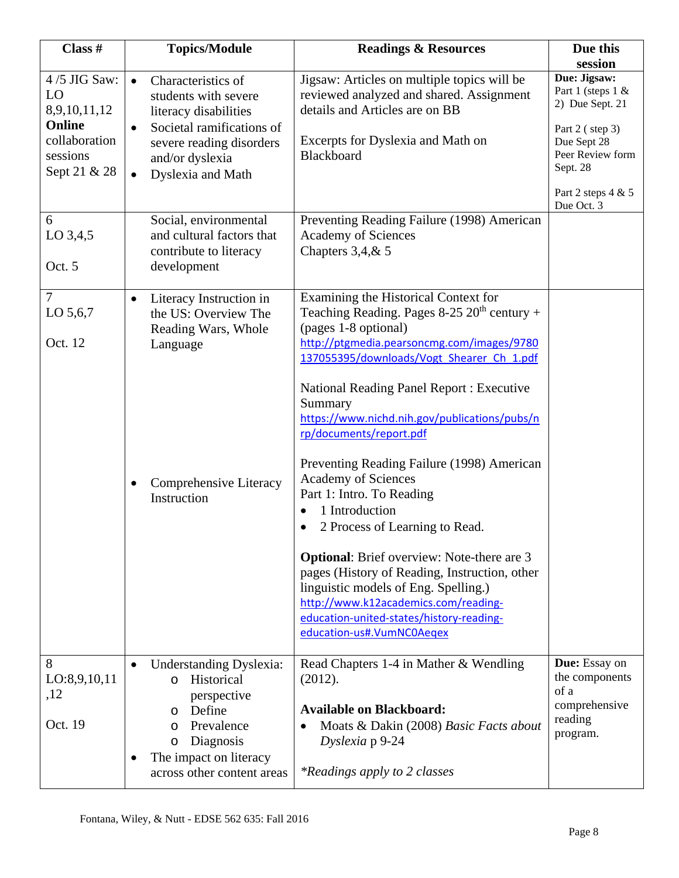| Class #                                                                                   | <b>Topics/Module</b>                                                                                                                                                                                        | <b>Readings &amp; Resources</b>                                                                                                                                                                                                                                                                                                                                                                                                                                                                                                                                                                                                                                                                                                                                                        | Due this                                                                                                                                     |
|-------------------------------------------------------------------------------------------|-------------------------------------------------------------------------------------------------------------------------------------------------------------------------------------------------------------|----------------------------------------------------------------------------------------------------------------------------------------------------------------------------------------------------------------------------------------------------------------------------------------------------------------------------------------------------------------------------------------------------------------------------------------------------------------------------------------------------------------------------------------------------------------------------------------------------------------------------------------------------------------------------------------------------------------------------------------------------------------------------------------|----------------------------------------------------------------------------------------------------------------------------------------------|
|                                                                                           |                                                                                                                                                                                                             |                                                                                                                                                                                                                                                                                                                                                                                                                                                                                                                                                                                                                                                                                                                                                                                        | session                                                                                                                                      |
| 4/5 JIG Saw:<br>LO<br>8,9,10,11,12<br>Online<br>collaboration<br>sessions<br>Sept 21 & 28 | Characteristics of<br>$\bullet$<br>students with severe<br>literacy disabilities<br>Societal ramifications of<br>$\bullet$<br>severe reading disorders<br>and/or dyslexia<br>Dyslexia and Math<br>$\bullet$ | Jigsaw: Articles on multiple topics will be<br>reviewed analyzed and shared. Assignment<br>details and Articles are on BB<br>Excerpts for Dyslexia and Math on<br>Blackboard                                                                                                                                                                                                                                                                                                                                                                                                                                                                                                                                                                                                           | Due: Jigsaw:<br>Part 1 (steps 1 &<br>2) Due Sept. 21<br>Part 2 (step 3)<br>Due Sept 28<br>Peer Review form<br>Sept. 28<br>Part 2 steps 4 & 5 |
|                                                                                           |                                                                                                                                                                                                             |                                                                                                                                                                                                                                                                                                                                                                                                                                                                                                                                                                                                                                                                                                                                                                                        | Due Oct. 3                                                                                                                                   |
| 6<br>LO 3,4,5<br>Oct. 5                                                                   | Social, environmental<br>and cultural factors that<br>contribute to literacy<br>development                                                                                                                 | Preventing Reading Failure (1998) American<br><b>Academy of Sciences</b><br>Chapters $3,4,8,5$                                                                                                                                                                                                                                                                                                                                                                                                                                                                                                                                                                                                                                                                                         |                                                                                                                                              |
| $\tau$<br>LO 5,6,7<br>Oct. 12                                                             | Literacy Instruction in<br>$\bullet$<br>the US: Overview The<br>Reading Wars, Whole<br>Language<br>Comprehensive Literacy<br>٠<br>Instruction                                                               | Examining the Historical Context for<br>Teaching Reading. Pages $8-25$ $20th$ century +<br>(pages 1-8 optional)<br>http://ptgmedia.pearsoncmg.com/images/9780<br>137055395/downloads/Vogt_Shearer_Ch_1.pdf<br><b>National Reading Panel Report: Executive</b><br>Summary<br>https://www.nichd.nih.gov/publications/pubs/n<br>rp/documents/report.pdf<br>Preventing Reading Failure (1998) American<br>Academy of Sciences<br>Part 1: Intro. To Reading<br>1 Introduction<br>2 Process of Learning to Read.<br>$\bullet$<br><b>Optional:</b> Brief overview: Note-there are 3<br>pages (History of Reading, Instruction, other<br>linguistic models of Eng. Spelling.)<br>http://www.k12academics.com/reading-<br>education-united-states/history-reading-<br>education-us#.VumNC0Aeqex |                                                                                                                                              |
| 8<br>LO:8,9,10,11<br>,12<br>Oct. 19                                                       | <b>Understanding Dyslexia:</b><br>Historical<br>$\Omega$<br>perspective<br>Define<br>$\circ$<br>Prevalence<br>O<br>Diagnosis<br>O<br>The impact on literacy<br>across other content areas                   | Read Chapters 1-4 in Mather & Wendling<br>(2012).<br><b>Available on Blackboard:</b><br>Moats & Dakin (2008) Basic Facts about<br>$\bullet$<br>Dyslexia p 9-24<br><i>*Readings apply to 2 classes</i>                                                                                                                                                                                                                                                                                                                                                                                                                                                                                                                                                                                  | Due: Essay on<br>the components<br>of a<br>comprehensive<br>reading<br>program.                                                              |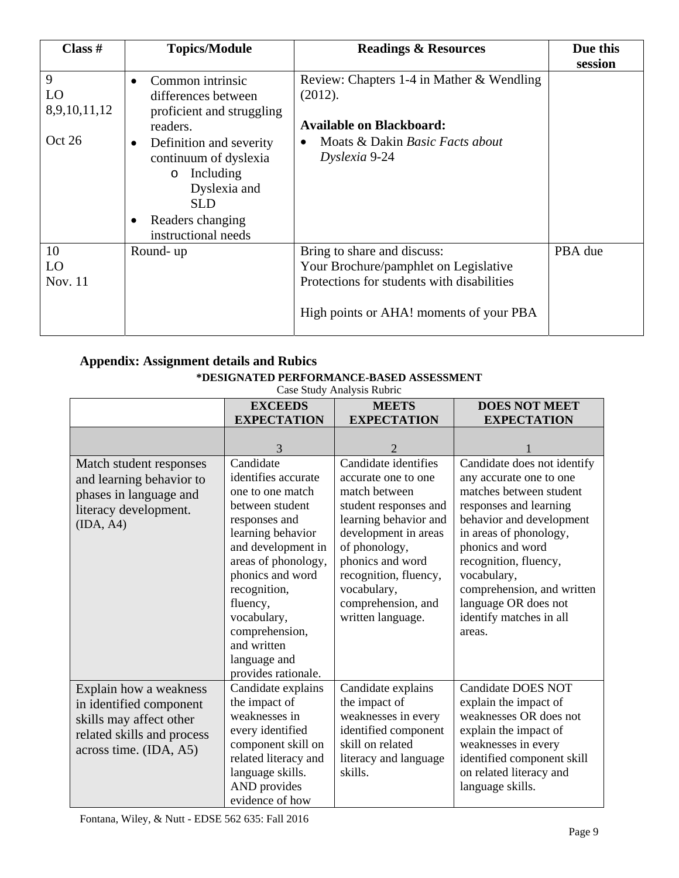| Class $#$                  | <b>Topics/Module</b>                                                                                                                                           | <b>Readings &amp; Resources</b>                                                                                                                               | Due this |
|----------------------------|----------------------------------------------------------------------------------------------------------------------------------------------------------------|---------------------------------------------------------------------------------------------------------------------------------------------------------------|----------|
|                            |                                                                                                                                                                |                                                                                                                                                               | session  |
| 9<br>LO<br>8,9,10,11,12    | Common intrinsic<br>differences between<br>proficient and struggling<br>readers.                                                                               | Review: Chapters 1-4 in Mather & Wendling<br>(2012).<br><b>Available on Blackboard:</b>                                                                       |          |
| Oct 26                     | Definition and severity<br>$\bullet$<br>continuum of dyslexia<br>Including<br>$\circ$<br>Dyslexia and<br><b>SLD</b><br>Readers changing<br>instructional needs | Moats & Dakin Basic Facts about<br>Dyslexia 9-24                                                                                                              |          |
| 10<br>LO<br><b>Nov. 11</b> | Round-up                                                                                                                                                       | Bring to share and discuss:<br>Your Brochure/pamphlet on Legislative<br>Protections for students with disabilities<br>High points or AHA! moments of your PBA | PBA due  |

## **Appendix: Assignment details and Rubics \*DESIGNATED PERFORMANCE-BASED ASSESSMENT**

Case Study Analysis Rubric

|                                                                                                                                      | <b>EXCEEDS</b><br><b>EXPECTATION</b>                                                                                                                                                                                                                                                              | <b>MEETS</b><br><b>EXPECTATION</b>                                                                                                                                                                                                                             | <b>DOES NOT MEET</b><br><b>EXPECTATION</b>                                                                                                                                                                                                                                                                               |
|--------------------------------------------------------------------------------------------------------------------------------------|---------------------------------------------------------------------------------------------------------------------------------------------------------------------------------------------------------------------------------------------------------------------------------------------------|----------------------------------------------------------------------------------------------------------------------------------------------------------------------------------------------------------------------------------------------------------------|--------------------------------------------------------------------------------------------------------------------------------------------------------------------------------------------------------------------------------------------------------------------------------------------------------------------------|
|                                                                                                                                      | 3                                                                                                                                                                                                                                                                                                 | $\overline{c}$                                                                                                                                                                                                                                                 |                                                                                                                                                                                                                                                                                                                          |
| Match student responses<br>and learning behavior to<br>phases in language and<br>literacy development.<br>(IDA, A4)                  | Candidate<br>identifies accurate<br>one to one match<br>between student<br>responses and<br>learning behavior<br>and development in<br>areas of phonology,<br>phonics and word<br>recognition,<br>fluency,<br>vocabulary,<br>comprehension,<br>and written<br>language and<br>provides rationale. | Candidate identifies<br>accurate one to one<br>match between<br>student responses and<br>learning behavior and<br>development in areas<br>of phonology,<br>phonics and word<br>recognition, fluency,<br>vocabulary,<br>comprehension, and<br>written language. | Candidate does not identify<br>any accurate one to one<br>matches between student<br>responses and learning<br>behavior and development<br>in areas of phonology,<br>phonics and word<br>recognition, fluency,<br>vocabulary,<br>comprehension, and written<br>language OR does not<br>identify matches in all<br>areas. |
| Explain how a weakness<br>in identified component<br>skills may affect other<br>related skills and process<br>across time. (IDA, A5) | Candidate explains<br>the impact of<br>weaknesses in<br>every identified<br>component skill on<br>related literacy and<br>language skills.<br>AND provides<br>evidence of how                                                                                                                     | Candidate explains<br>the impact of<br>weaknesses in every<br>identified component<br>skill on related<br>literacy and language<br>skills.                                                                                                                     | <b>Candidate DOES NOT</b><br>explain the impact of<br>weaknesses OR does not<br>explain the impact of<br>weaknesses in every<br>identified component skill<br>on related literacy and<br>language skills.                                                                                                                |

Fontana, Wiley, & Nutt - EDSE 562 635: Fall 2016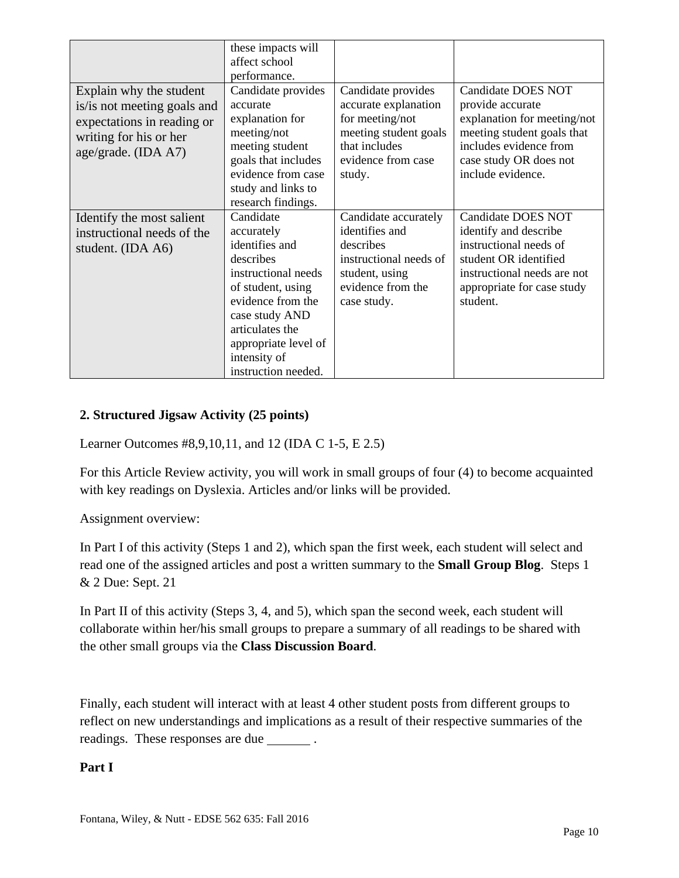|                                                                                                                                       | these impacts will<br>affect school<br>performance.                                                                                                                                                                         |                                                                                                                                         |                                                                                                                                                                                     |
|---------------------------------------------------------------------------------------------------------------------------------------|-----------------------------------------------------------------------------------------------------------------------------------------------------------------------------------------------------------------------------|-----------------------------------------------------------------------------------------------------------------------------------------|-------------------------------------------------------------------------------------------------------------------------------------------------------------------------------------|
| Explain why the student<br>is/is not meeting goals and<br>expectations in reading or<br>writing for his or her<br>age/grade. (IDA A7) | Candidate provides<br>accurate<br>explanation for<br>meeting/not<br>meeting student<br>goals that includes<br>evidence from case<br>study and links to<br>research findings.                                                | Candidate provides<br>accurate explanation<br>for meeting/not<br>meeting student goals<br>that includes<br>evidence from case<br>study. | <b>Candidate DOES NOT</b><br>provide accurate<br>explanation for meeting/not<br>meeting student goals that<br>includes evidence from<br>case study OR does not<br>include evidence. |
| Identify the most salient<br>instructional needs of the<br>student. (IDA A6)                                                          | Candidate<br>accurately<br>identifies and<br>describes<br>instructional needs<br>of student, using<br>evidence from the<br>case study AND<br>articulates the<br>appropriate level of<br>intensity of<br>instruction needed. | Candidate accurately<br>identifies and<br>describes<br>instructional needs of<br>student, using<br>evidence from the<br>case study.     | <b>Candidate DOES NOT</b><br>identify and describe<br>instructional needs of<br>student OR identified<br>instructional needs are not<br>appropriate for case study<br>student.      |

#### **2. Structured Jigsaw Activity (25 points)**

Learner Outcomes #8,9,10,11, and 12 (IDA C 1-5, E 2.5)

For this Article Review activity, you will work in small groups of four (4) to become acquainted with key readings on Dyslexia. Articles and/or links will be provided.

Assignment overview:

In Part I of this activity (Steps 1 and 2), which span the first week, each student will select and read one of the assigned articles and post a written summary to the **Small Group Blog**. Steps 1 & 2 Due: Sept. 21

In Part II of this activity (Steps 3, 4, and 5), which span the second week, each student will collaborate within her/his small groups to prepare a summary of all readings to be shared with the other small groups via the **Class Discussion Board**.

Finally, each student will interact with at least 4 other student posts from different groups to reflect on new understandings and implications as a result of their respective summaries of the readings. These responses are due \_\_\_\_\_\_\_\_.

#### **Part I**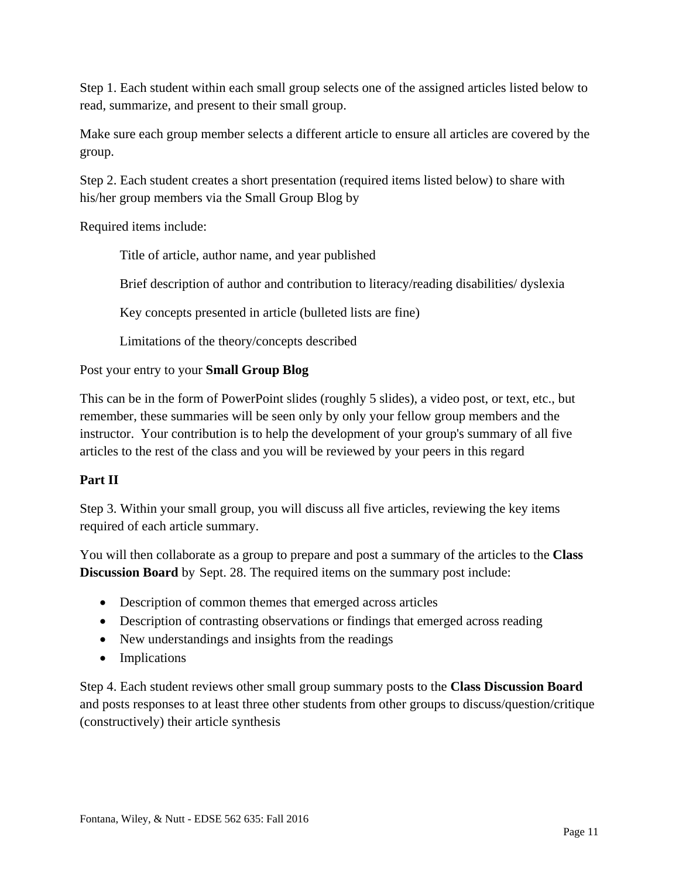Step 1. Each student within each small group selects one of the assigned articles listed below to read, summarize, and present to their small group.

Make sure each group member selects a different article to ensure all articles are covered by the group.

Step 2. Each student creates a short presentation (required items listed below) to share with his/her group members via the Small Group Blog by

Required items include:

Title of article, author name, and year published

Brief description of author and contribution to literacy/reading disabilities/ dyslexia

Key concepts presented in article (bulleted lists are fine)

Limitations of the theory/concepts described

Post your entry to your **Small Group Blog**

This can be in the form of PowerPoint slides (roughly 5 slides), a video post, or text, etc., but remember, these summaries will be seen only by only your fellow group members and the instructor. Your contribution is to help the development of your group's summary of all five articles to the rest of the class and you will be reviewed by your peers in this regard

### **Part II**

Step 3. Within your small group, you will discuss all five articles, reviewing the key items required of each article summary.

You will then collaborate as a group to prepare and post a summary of the articles to the **Class Discussion Board** by Sept. 28. The required items on the summary post include:

- Description of common themes that emerged across articles
- Description of contrasting observations or findings that emerged across reading
- New understandings and insights from the readings
- Implications

Step 4. Each student reviews other small group summary posts to the **Class Discussion Board** and posts responses to at least three other students from other groups to discuss/question/critique (constructively) their article synthesis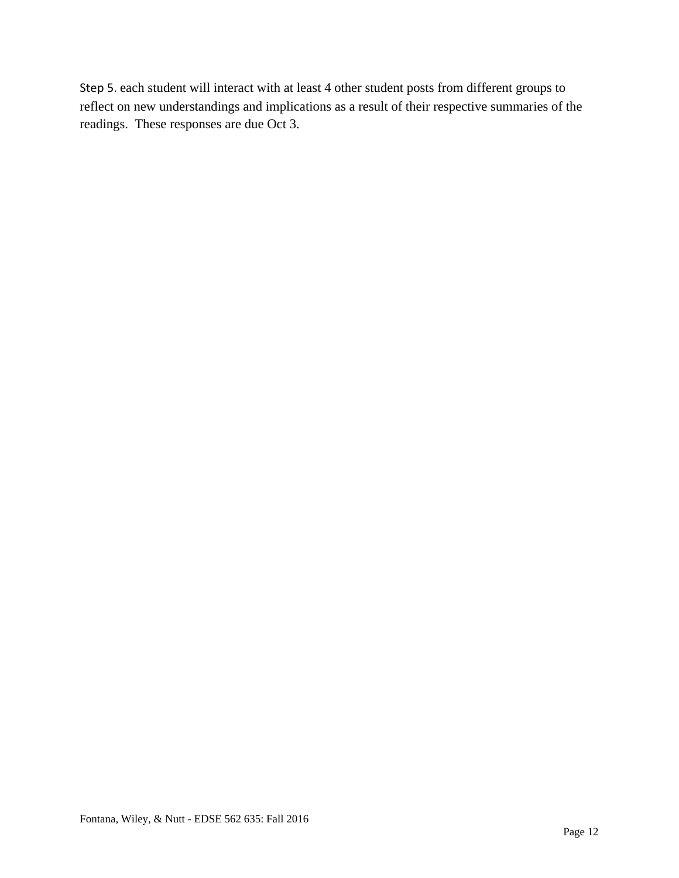Step 5. each student will interact with at least 4 other student posts from different groups to reflect on new understandings and implications as a result of their respective summaries of the readings. These responses are due Oct 3.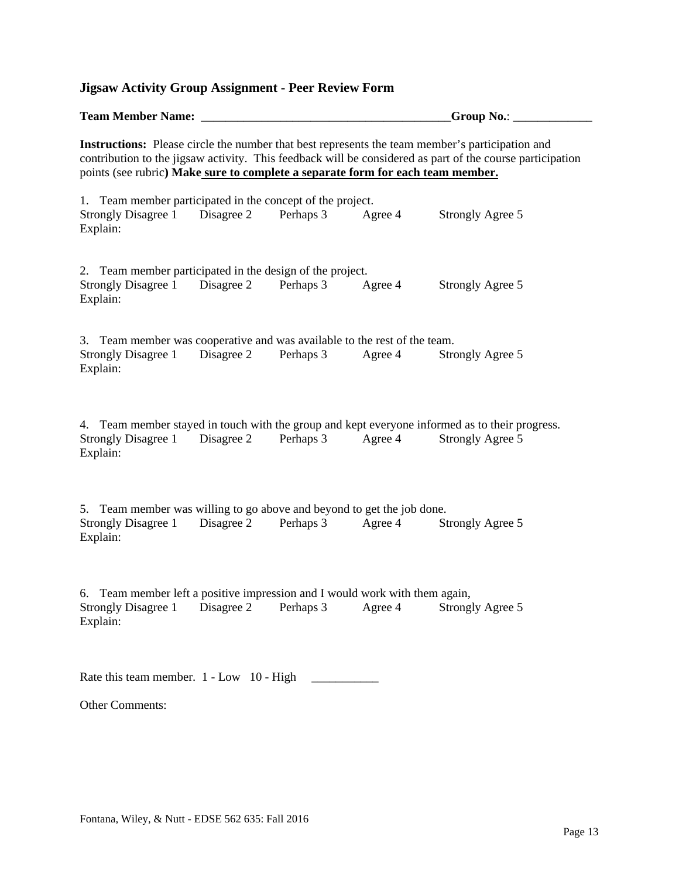# **Team Member Name:**  $\bullet$  **Croup No.:**   $\bullet$  **Group No.:**  $\bullet$  **Group No.:**  $\bullet$ **Instructions:** Please circle the number that best represents the team member's participation and contribution to the jigsaw activity. This feedback will be considered as part of the course participation points (see rubric**) Make sure to complete a separate form for each team member.**

**Jigsaw Activity Group Assignment - Peer Review Form** 

1. Team member participated in the concept of the project. Strongly Disagree 1 Disagree 2 Perhaps 3 Agree 4 Strongly Agree 5 Explain:

| 2. Team member participated in the design of the project. |           |         |                  |
|-----------------------------------------------------------|-----------|---------|------------------|
| Strongly Disagree 1 Disagree 2                            | Perhaps 3 | Agree 4 | Strongly Agree 5 |
| Explain:                                                  |           |         |                  |

3. Team member was cooperative and was available to the rest of the team. Strongly Disagree 1 Disagree 2 Perhaps 3 Agree 4 Strongly Agree 5 Explain:

4. Team member stayed in touch with the group and kept everyone informed as to their progress. Strongly Disagree 1 Disagree 2 Perhaps 3 Agree 4 Strongly Agree 5 Explain:

5. Team member was willing to go above and beyond to get the job done. Strongly Disagree 1 Disagree 2 Perhaps 3 Agree 4 Strongly Agree 5 Explain:

6. Team member left a positive impression and I would work with them again, Strongly Disagree 1 Disagree 2 Perhaps 3 Agree 4 Strongly Agree 5 Explain:

Rate this team member. 1 - Low 10 - High

Other Comments: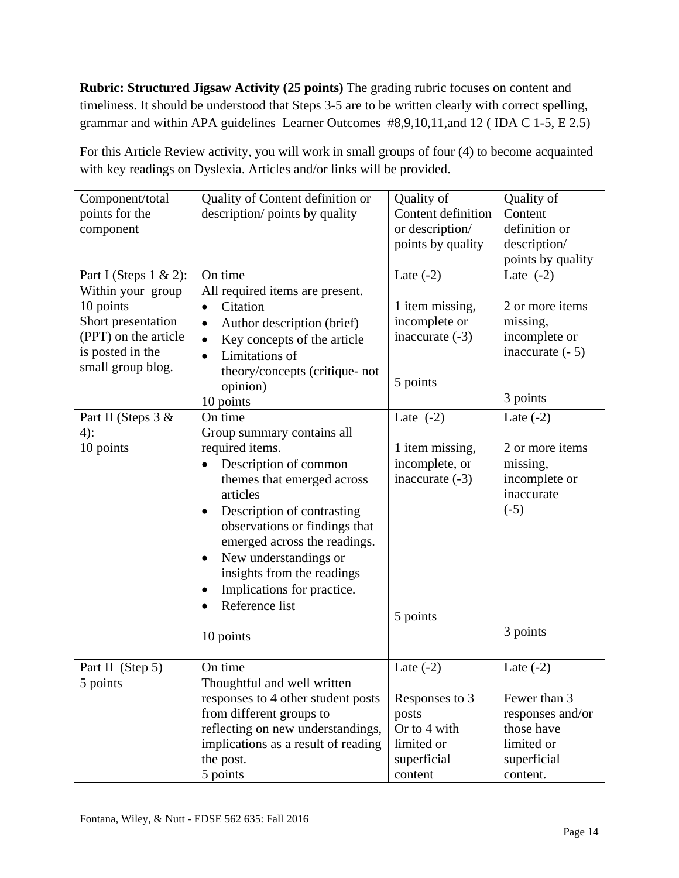**Rubric: Structured Jigsaw Activity (25 points)** The grading rubric focuses on content and timeliness. It should be understood that Steps 3-5 are to be written clearly with correct spelling, grammar and within APA guidelines Learner Outcomes #8,9,10,11,and 12 ( IDA C 1-5, E 2.5)

For this Article Review activity, you will work in small groups of four (4) to become acquainted with key readings on Dyslexia. Articles and/or links will be provided.

| Component/total<br>points for the<br>component | Quality of Content definition or<br>description/ points by quality | Quality of<br>Content definition<br>or description/<br>points by quality | Quality of<br>Content<br>definition or<br>description/ |
|------------------------------------------------|--------------------------------------------------------------------|--------------------------------------------------------------------------|--------------------------------------------------------|
|                                                |                                                                    |                                                                          | points by quality                                      |
| Part I (Steps $1 \& 2$ ):                      | On time                                                            | Late $(-2)$                                                              | Late $(-2)$                                            |
| Within your group                              | All required items are present.                                    |                                                                          |                                                        |
| 10 points<br>Short presentation                | Citation<br>$\bullet$                                              | 1 item missing,                                                          | 2 or more items                                        |
| (PPT) on the article                           | Author description (brief)<br>$\bullet$                            | incomplete or<br>inaccurate $(-3)$                                       | missing,<br>incomplete or                              |
| is posted in the                               | Key concepts of the article<br>$\bullet$                           |                                                                          | inaccurate $(-5)$                                      |
| small group blog.                              | Limitations of<br>$\bullet$                                        |                                                                          |                                                        |
|                                                | theory/concepts (critique- not                                     | 5 points                                                                 |                                                        |
|                                                | opinion)                                                           |                                                                          | 3 points                                               |
|                                                | 10 points<br>On time                                               | Late $(-2)$                                                              | Late $(-2)$                                            |
| Part II (Steps 3 &<br>$4)$ :                   | Group summary contains all                                         |                                                                          |                                                        |
| 10 points                                      | required items.                                                    | 1 item missing,                                                          | 2 or more items                                        |
|                                                | Description of common<br>$\bullet$                                 | incomplete, or                                                           | missing,                                               |
|                                                | themes that emerged across                                         | inaccurate $(-3)$                                                        | incomplete or                                          |
|                                                | articles                                                           |                                                                          | inaccurate                                             |
|                                                | Description of contrasting<br>$\bullet$                            |                                                                          | $(-5)$                                                 |
|                                                | observations or findings that                                      |                                                                          |                                                        |
|                                                | emerged across the readings.                                       |                                                                          |                                                        |
|                                                | New understandings or<br>$\bullet$                                 |                                                                          |                                                        |
|                                                | insights from the readings                                         |                                                                          |                                                        |
|                                                | Implications for practice.<br>$\bullet$                            |                                                                          |                                                        |
|                                                | Reference list                                                     |                                                                          |                                                        |
|                                                |                                                                    | 5 points                                                                 |                                                        |
|                                                | 10 points                                                          |                                                                          | 3 points                                               |
|                                                |                                                                    |                                                                          |                                                        |
| Part II (Step 5)                               | On time                                                            | Late $(-2)$                                                              | Late $(-2)$                                            |
| 5 points                                       | Thoughtful and well written                                        |                                                                          |                                                        |
|                                                | responses to 4 other student posts                                 | Responses to 3                                                           | Fewer than 3                                           |
|                                                | from different groups to                                           | posts                                                                    | responses and/or                                       |
|                                                | reflecting on new understandings,                                  | Or to 4 with                                                             | those have                                             |
|                                                | implications as a result of reading                                | limited or                                                               | limited or                                             |
|                                                | the post.                                                          | superficial                                                              | superficial                                            |
|                                                | 5 points                                                           | content                                                                  | content.                                               |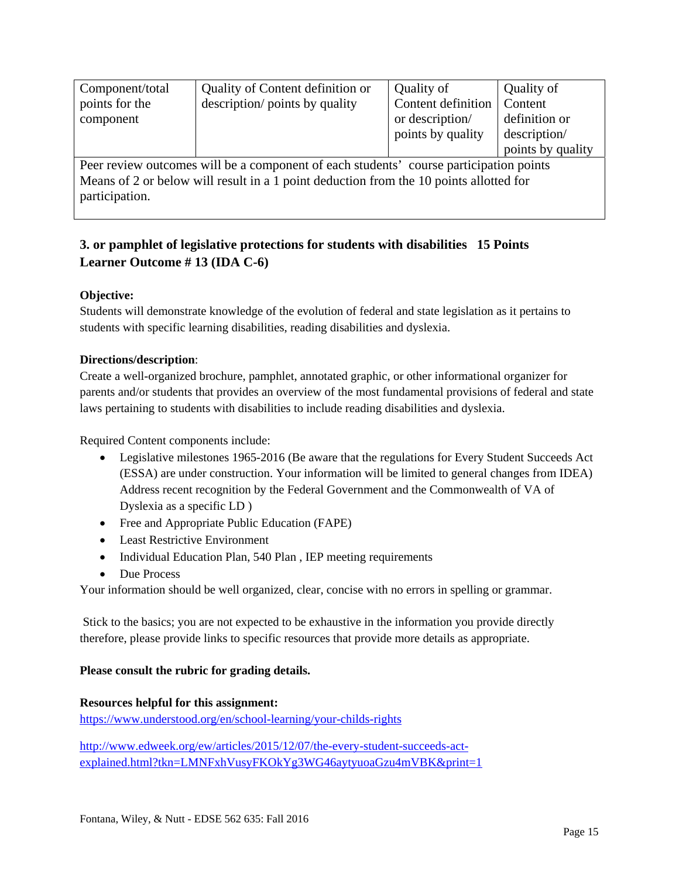| Component/total<br>points for the<br>component                                         | Quality of Content definition or<br>description/ points by quality | Quality of<br>Content definition<br>or description/<br>points by quality | Quality of<br>Content<br>definition or<br>description/ |  |
|----------------------------------------------------------------------------------------|--------------------------------------------------------------------|--------------------------------------------------------------------------|--------------------------------------------------------|--|
|                                                                                        |                                                                    |                                                                          | points by quality                                      |  |
| Peer review outcomes will be a component of each students' course participation points |                                                                    |                                                                          |                                                        |  |
| Means of 2 or below will result in a 1 point deduction from the 10 points allotted for |                                                                    |                                                                          |                                                        |  |

participation.

## **3. or pamphlet of legislative protections for students with disabilities 15 Points Learner Outcome # 13 (IDA C-6)**

#### **Objective:**

Students will demonstrate knowledge of the evolution of federal and state legislation as it pertains to students with specific learning disabilities, reading disabilities and dyslexia.

#### **Directions/description**:

Create a well-organized brochure, pamphlet, annotated graphic, or other informational organizer for parents and/or students that provides an overview of the most fundamental provisions of federal and state laws pertaining to students with disabilities to include reading disabilities and dyslexia.

Required Content components include:

- Legislative milestones 1965-2016 (Be aware that the regulations for Every Student Succeeds Act (ESSA) are under construction. Your information will be limited to general changes from IDEA) Address recent recognition by the Federal Government and the Commonwealth of VA of Dyslexia as a specific LD )
- Free and Appropriate Public Education (FAPE)
- Least Restrictive Environment
- Individual Education Plan, 540 Plan, IEP meeting requirements
- Due Process

Your information should be well organized, clear, concise with no errors in spelling or grammar.

 Stick to the basics; you are not expected to be exhaustive in the information you provide directly therefore, please provide links to specific resources that provide more details as appropriate.

#### **Please consult the rubric for grading details.**

#### **Resources helpful for this assignment:**

https://www.understood.org/en/school-learning/your-childs-rights

http://www.edweek.org/ew/articles/2015/12/07/the-every-student-succeeds-actexplained.html?tkn=LMNFxhVusyFKOkYg3WG46aytyuoaGzu4mVBK&print=1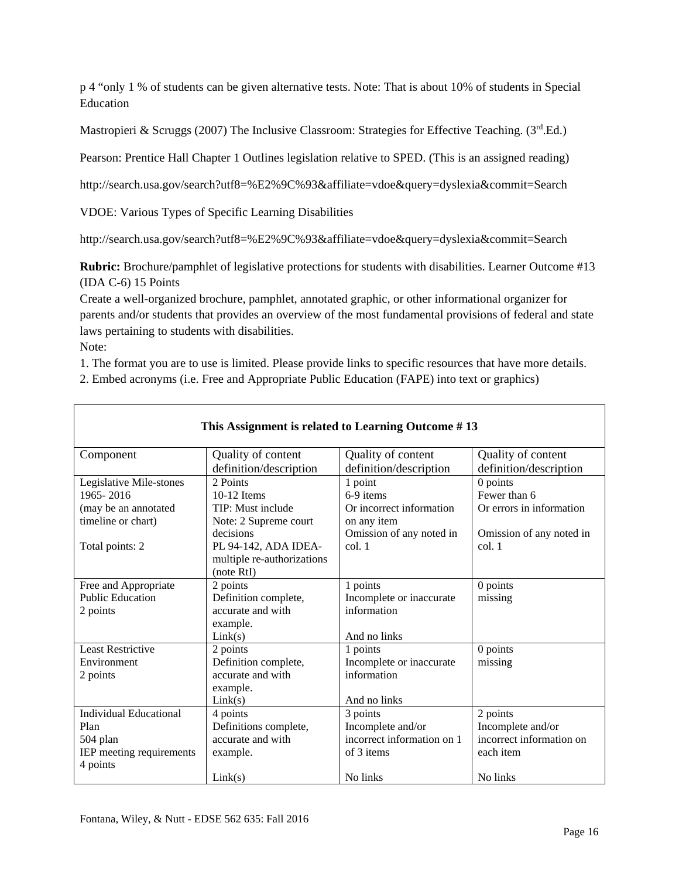p 4 "only 1 % of students can be given alternative tests. Note: That is about 10% of students in Special Education

Mastropieri & Scruggs (2007) The Inclusive Classroom: Strategies for Effective Teaching. (3rd Ed.)

Pearson: Prentice Hall Chapter 1 Outlines legislation relative to SPED. (This is an assigned reading)

http://search.usa.gov/search?utf8=%E2%9C%93&affiliate=vdoe&query=dyslexia&commit=Search

VDOE: Various Types of Specific Learning Disabilities

http://search.usa.gov/search?utf8=%E2%9C%93&affiliate=vdoe&query=dyslexia&commit=Search

**Rubric:** Brochure/pamphlet of legislative protections for students with disabilities. Learner Outcome #13 (IDA C-6) 15 Points

Create a well-organized brochure, pamphlet, annotated graphic, or other informational organizer for parents and/or students that provides an overview of the most fundamental provisions of federal and state laws pertaining to students with disabilities.

Note:

1. The format you are to use is limited. Please provide links to specific resources that have more details.

2. Embed acronyms (i.e. Free and Appropriate Public Education (FAPE) into text or graphics)

| This Assignment is related to Learning Outcome #13 |                            |                            |                          |
|----------------------------------------------------|----------------------------|----------------------------|--------------------------|
| Component                                          | Quality of content         | Quality of content         | Quality of content       |
|                                                    | definition/description     | definition/description     | definition/description   |
| Legislative Mile-stones                            | 2 Points                   | 1 point                    | $0$ points               |
| 1965-2016                                          | $10-12$ Items              | 6-9 items                  | Fewer than 6             |
| (may be an annotated                               | TIP: Must include          | Or incorrect information   | Or errors in information |
| timeline or chart)                                 | Note: 2 Supreme court      | on any item                |                          |
|                                                    | decisions                  | Omission of any noted in   | Omission of any noted in |
| Total points: 2                                    | PL 94-142, ADA IDEA-       | col.1                      | col.1                    |
|                                                    | multiple re-authorizations |                            |                          |
|                                                    | (note RtI)                 |                            |                          |
| Free and Appropriate                               | 2 points                   | 1 points                   | 0 points                 |
| <b>Public Education</b>                            | Definition complete,       | Incomplete or inaccurate   | missing                  |
| 2 points                                           | accurate and with          | information                |                          |
|                                                    | example.                   |                            |                          |
|                                                    | Link(s)                    | And no links               |                          |
| <b>Least Restrictive</b>                           | 2 points                   | 1 points                   | 0 points                 |
| Environment                                        | Definition complete,       | Incomplete or inaccurate   | missing                  |
| 2 points                                           | accurate and with          | information                |                          |
|                                                    | example.                   |                            |                          |
|                                                    | Link(s)                    | And no links               |                          |
| <b>Individual Educational</b>                      | 4 points                   | 3 points                   | 2 points                 |
| Plan                                               | Definitions complete,      | Incomplete and/or          | Incomplete and/or        |
| 504 plan                                           | accurate and with          | incorrect information on 1 | incorrect information on |
| IEP meeting requirements                           | example.                   | of 3 items                 | each item                |
| 4 points                                           |                            |                            |                          |
|                                                    | Link(s)                    | No links                   | No links                 |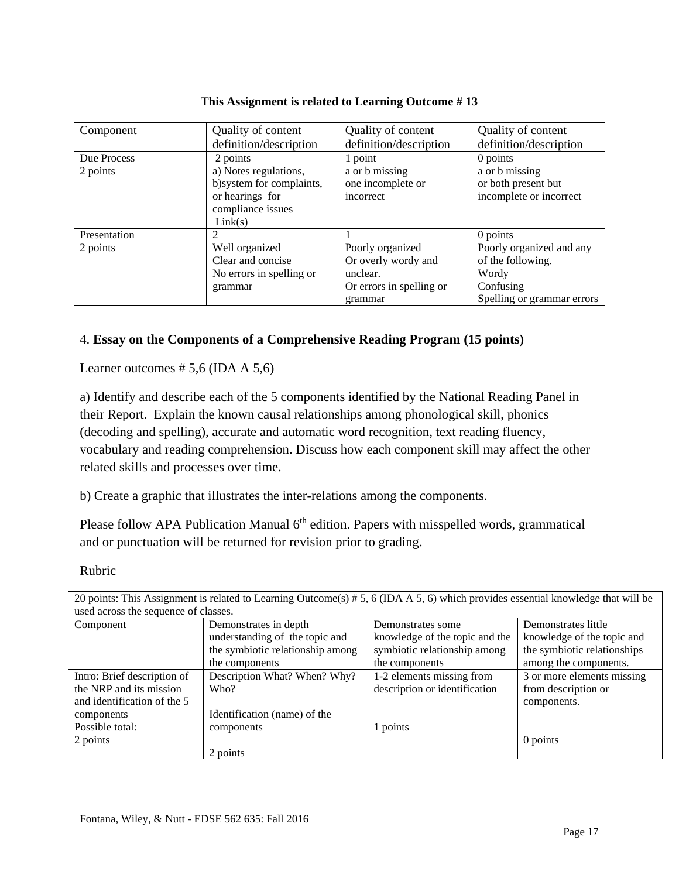#### **This Assignment is related to Learning Outcome # 13**

| Component    | Quality of content        | Quality of content       | Quality of content         |
|--------------|---------------------------|--------------------------|----------------------------|
|              | definition/description    | definition/description   | definition/description     |
| Due Process  | 2 points                  | 1 point                  | 0 points                   |
| 2 points     | a) Notes regulations,     | a or b missing           | a or b missing             |
|              | b) system for complaints, | one incomplete or        | or both present but        |
|              | or hearings for           | incorrect                | incomplete or incorrect    |
|              | compliance issues         |                          |                            |
|              | Link(s)                   |                          |                            |
| Presentation |                           |                          | 0 points                   |
| 2 points     | Well organized            | Poorly organized         | Poorly organized and any   |
|              | Clear and concise         | Or overly wordy and      | of the following.          |
|              | No errors in spelling or  | unclear.                 | Wordy                      |
|              | grammar                   | Or errors in spelling or | Confusing                  |
|              |                           | grammar                  | Spelling or grammar errors |

### 4. **Essay on the Components of a Comprehensive Reading Program (15 points)**

Learner outcomes  $# 5,6$  (IDA A 5,6)

a) Identify and describe each of the 5 components identified by the National Reading Panel in their Report. Explain the known causal relationships among phonological skill, phonics (decoding and spelling), accurate and automatic word recognition, text reading fluency, vocabulary and reading comprehension. Discuss how each component skill may affect the other related skills and processes over time.

b) Create a graphic that illustrates the inter-relations among the components.

Please follow APA Publication Manual  $6<sup>th</sup>$  edition. Papers with misspelled words, grammatical and or punctuation will be returned for revision prior to grading.

Rubric

| 20 points: This Assignment is related to Learning Outcome(s) # 5, 6 (IDA A 5, 6) which provides essential knowledge that will be |                                  |                                |                             |
|----------------------------------------------------------------------------------------------------------------------------------|----------------------------------|--------------------------------|-----------------------------|
| used across the sequence of classes.                                                                                             |                                  |                                |                             |
| Component                                                                                                                        | Demonstrates in depth            | Demonstrates some              | Demonstrates little         |
|                                                                                                                                  | understanding of the topic and   | knowledge of the topic and the | knowledge of the topic and  |
|                                                                                                                                  | the symbiotic relationship among | symbiotic relationship among   | the symbiotic relationships |
|                                                                                                                                  | the components                   | the components                 | among the components.       |
| Intro: Brief description of                                                                                                      | Description What? When? Why?     | 1-2 elements missing from      | 3 or more elements missing  |
| the NRP and its mission                                                                                                          | Who?                             | description or identification  | from description or         |
| and identification of the 5                                                                                                      |                                  |                                | components.                 |
| components                                                                                                                       | Identification (name) of the     |                                |                             |
| Possible total:                                                                                                                  | components                       | 1 points                       |                             |
| 2 points                                                                                                                         |                                  |                                | 0 points                    |
|                                                                                                                                  | 2 points                         |                                |                             |